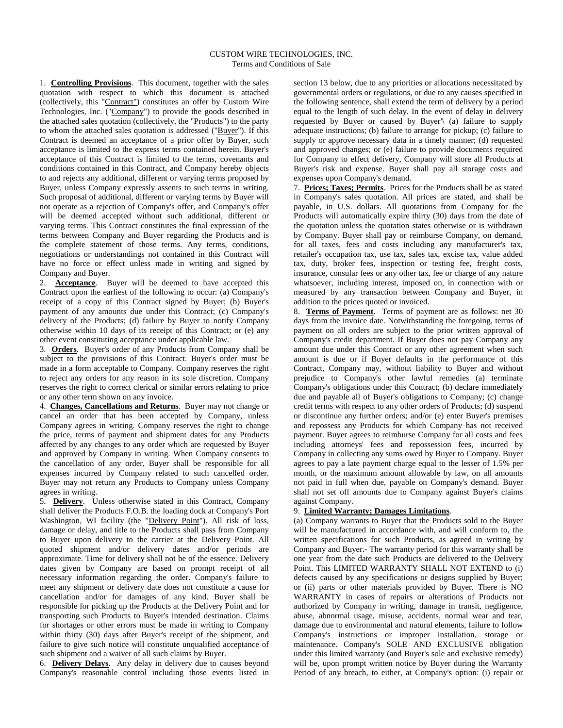1. **Controlling Provisions**. This document, together with the sales quotation with respect to which this document is attached (collectively, this "Contract") constitutes an offer by Custom Wire Technologies, Inc. ("Company") to provide the goods described in the attached sales quotation (collectively, the "Products") to the party to whom the attached sales quotation is addressed ("Buyer"). If this Contract is deemed an acceptance of a prior offer by Buyer, such acceptance is limited to the express terms contained herein. Buyer's acceptance of this Contract is limited to the terms, covenants and conditions contained in this Contract, and Company hereby objects to and rejects any additional, different or varying terms proposed by Buyer, unless Company expressly assents to such terms in writing. Such proposal of additional, different or varying terms by Buyer will not operate as a rejection of Company's offer, and Company's offer will be deemed accepted without such additional, different or varying terms. This Contract constitutes the final expression of the terms between Company and Buyer regarding the Products and is the complete statement of those terms. Any terms, conditions, negotiations or understandings not contained in this Contract will have no force or effect unless made in writing and signed by Company and Buyer.

2. **Acceptance**. Buyer will be deemed to have accepted this Contract upon the earliest of the following to occur: (a) Company's receipt of a copy of this Contract signed by Buyer; (b) Buyer's payment of any amounts due under this Contract; (c) Company's delivery of the Products; (d) failure by Buyer to notify Company otherwise within 10 days of its receipt of this Contract; or (e) any other event constituting acceptance under applicable law.

3. **Orders**. Buyer's order of any Products from Company shall be subject to the provisions of this Contract. Buyer's order must be made in a form acceptable to Company. Company reserves the right to reject any orders for any reason in its sole discretion. Company reserves the right to correct clerical or similar errors relating to price or any other term shown on any invoice.

4. **Changes, Cancellations and Returns**. Buyer may not change or cancel an order that has been accepted by Company, unless Company agrees in writing. Company reserves the right to change the price, terms of payment and shipment dates for any Products affected by any changes to any order which are requested by Buyer and approved by Company in writing. When Company consents to the cancellation of any order, Buyer shall be responsible for all expenses incurred by Company related to such cancelled order. Buyer may not return any Products to Company unless Company agrees in writing.

5. **Delivery**. Unless otherwise stated in this Contract, Company shall deliver the Products F.O.B. the loading dock at Company's Port Washington, WI facility (the "Delivery Point"). All risk of loss, damage or delay, and title to the Products shall pass from Company to Buyer upon delivery to the carrier at the Delivery Point. All quoted shipment and/or delivery dates and/or periods are approximate. Time for delivery shall not be of the essence. Delivery dates given by Company are based on prompt receipt of all necessary information regarding the order. Company's failure to meet any shipment or delivery date does not constitute a cause for cancellation and/or for damages of any kind. Buyer shall be responsible for picking up the Products at the Delivery Point and for transporting such Products to Buyer's intended destination. Claims for shortages or other errors must be made in writing to Company within thirty (30) days after Buyer's receipt of the shipment, and failure to give such notice will constitute unqualified acceptance of such shipment and a waiver of all such claims by Buyer.

6. **Delivery Delays**. Any delay in delivery due to causes beyond Company's reasonable control including those events listed in

section 13 below, due to any priorities or allocations necessitated by governmental orders or regulations, or due to any causes specified in the following sentence, shall extend the term of delivery by a period equal to the length of such delay. In the event of delay in delivery requested by Buyer or caused by Buyer'\ (a) failure to supply adequate instructions; (b) failure to arrange for pickup; (c) failure to supply or approve necessary data in a timely manner; (d) requested and approved changes; or (e) failure to provide documents required for Company to effect delivery, Company will store all Products at Buyer's risk and expense. Buyer shall pay all storage costs and expenses upon Company's demand.

7. **Prices; Taxes; Permits**. Prices for the Products shall be as stated in Company's sales quotation. All prices are stated, and shall be payable, in U.S. dollars. All quotations from Company for the Products will automatically expire thirty (30) days from the date of the quotation unless the quotation states otherwise or is withdrawn by Company. Buyer shall pay or reimburse Company, on demand, for all taxes, fees and costs including any manufacturer's tax, retailer's occupation tax, use tax, sales tax, excise tax, value added tax, duty, broker fees, inspection or testing fee, freight costs, insurance, consular fees or any other tax, fee or charge of any nature whatsoever, including interest, imposed on, in connection with or measured by any transaction between Company and Buyer, in addition to the prices quoted or invoiced.

8. **Terms of Payment**. Terms of payment are as follows: net 30 days from the invoice date. Notwithstanding the foregoing, terms of payment on all orders are subject to the prior written approval of Company's credit department. If Buyer does not pay Company any amount due under this Contract or any other agreement when such amount is due or if Buyer defaults in the performance of this Contract, Company may, without liability to Buyer and without prejudice to Company's other lawful remedies (a) terminate Company's obligations under this Contract; (b) declare immediately due and payable all of Buyer's obligations to Company; (c) change credit terms with respect to any other orders of Products; (d) suspend or discontinue any further orders; and/or (e) enter Buyer's premises and repossess any Products for which Company has not received payment. Buyer agrees to reimburse Company for all costs and fees including attorneys' fees and repossession fees, incurred by Company in collecting any sums owed by Buyer to Company. Buyer agrees to pay a late payment charge equal to the lesser of 1.5% per month, or the maximum amount allowable by law, on all amounts not paid in full when due, payable on Company's demand. Buyer shall not set off amounts due to Company against Buyer's claims against Company.

## 9. **Limited Warranty; Damages Limitations**.

(a) Company warrants to Buyer that the Products sold to the Buyer will be manufactured in accordance with, and will conform to, the written specifications for such Products, as agreed in writing by Company and Buyer.- The warranty period for this warranty shall be one year from the date such Products are delivered to the Delivery Point. This LIMITED WARRANTY SHALL NOT EXTEND to (i) defects caused by any specifications or designs supplied by Buyer; or (ii) parts or other materials provided by Buyer. There is NO WARRANTY in cases of repairs or alterations of Products not authorized by Company in writing, damage in transit, negligence, abuse, abnormal usage, misuse, accidents, normal wear and tear, damage due to environmental and natural elements, failure to follow Company's instructions or improper installation, storage or maintenance. Company's SOLE AND EXCLUSIVE obligation under this limited warranty (and Buyer's sole and exclusive remedy) will be, upon prompt written notice by Buyer during the Warranty Period of any breach, to either, at Company's option: (i) repair or